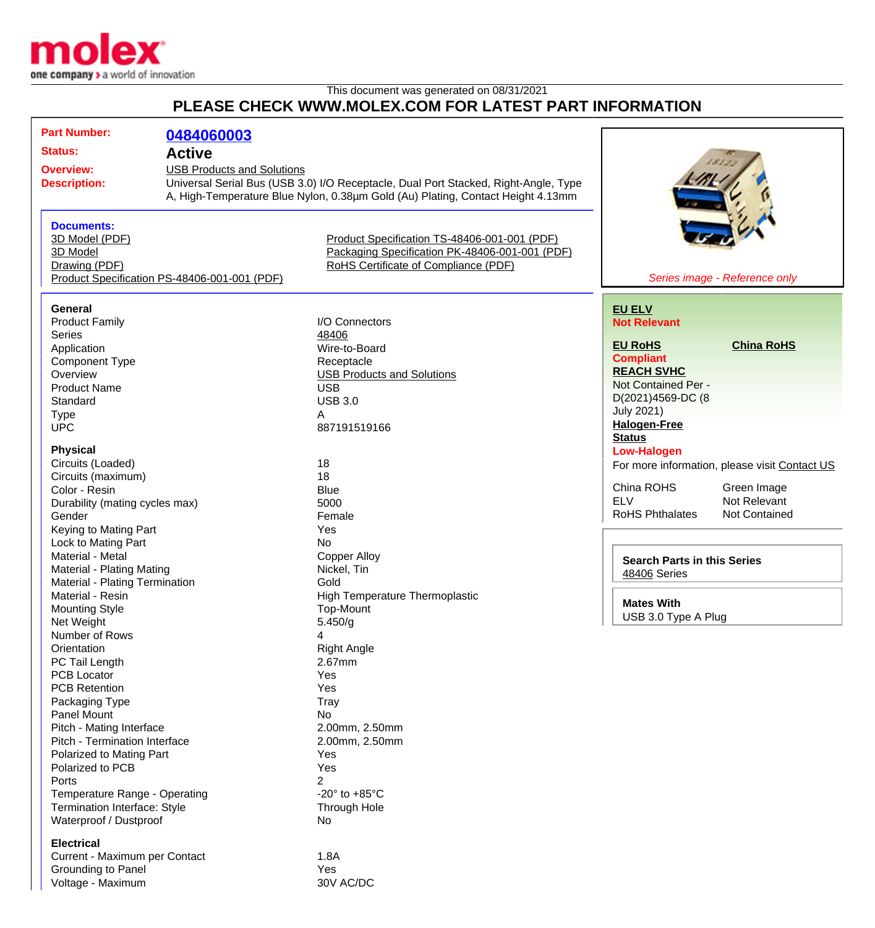

Voltage - Maximum

## This document was generated on 08/31/2021 **PLEASE CHECK WWW.MOLEX.COM FOR LATEST PART INFORMATION**

| <b>Part Number:</b>                          |                                   |                                                                                     |                                               |
|----------------------------------------------|-----------------------------------|-------------------------------------------------------------------------------------|-----------------------------------------------|
|                                              | 0484060003                        |                                                                                     |                                               |
| <b>Status:</b>                               | <b>Active</b>                     |                                                                                     |                                               |
| <b>Overview:</b>                             | <b>USB Products and Solutions</b> |                                                                                     |                                               |
| <b>Description:</b>                          |                                   | Universal Serial Bus (USB 3.0) I/O Receptacle, Dual Port Stacked, Right-Angle, Type |                                               |
|                                              |                                   | A, High-Temperature Blue Nylon, 0.38µm Gold (Au) Plating, Contact Height 4.13mm     |                                               |
|                                              |                                   |                                                                                     |                                               |
| <b>Documents:</b><br>3D Model (PDF)          |                                   | Product Specification TS-48406-001-001 (PDF)                                        |                                               |
| 3D Model                                     |                                   | Packaging Specification PK-48406-001-001 (PDF)                                      |                                               |
| Drawing (PDF)                                |                                   | RoHS Certificate of Compliance (PDF)                                                |                                               |
| Product Specification PS-48406-001-001 (PDF) |                                   |                                                                                     | Series image - Reference only                 |
|                                              |                                   |                                                                                     |                                               |
| General                                      |                                   |                                                                                     | <b>EU ELV</b>                                 |
| <b>Product Family</b>                        |                                   | I/O Connectors                                                                      | <b>Not Relevant</b>                           |
| <b>Series</b>                                |                                   | 48406                                                                               |                                               |
| Application                                  |                                   | Wire-to-Board                                                                       | <b>China RoHS</b><br><b>EU RoHS</b>           |
| <b>Component Type</b>                        |                                   | Receptacle                                                                          | <b>Compliant</b>                              |
| Overview                                     |                                   | <b>USB Products and Solutions</b>                                                   | <b>REACH SVHC</b>                             |
| <b>Product Name</b>                          |                                   | <b>USB</b>                                                                          | Not Contained Per -                           |
| Standard                                     |                                   | <b>USB 3.0</b>                                                                      | D(2021)4569-DC (8                             |
| <b>Type</b>                                  |                                   | A                                                                                   | <b>July 2021)</b>                             |
| <b>UPC</b>                                   |                                   | 887191519166                                                                        | <b>Halogen-Free</b>                           |
|                                              |                                   |                                                                                     | <b>Status</b>                                 |
| <b>Physical</b>                              |                                   |                                                                                     | <b>Low-Halogen</b>                            |
| Circuits (Loaded)                            |                                   | 18                                                                                  | For more information, please visit Contact US |
| Circuits (maximum)                           |                                   | 18                                                                                  |                                               |
| Color - Resin                                |                                   | <b>Blue</b>                                                                         | China ROHS<br>Green Image                     |
| Durability (mating cycles max)               |                                   | 5000                                                                                | <b>ELV</b><br>Not Relevant                    |
| Gender                                       |                                   | Female                                                                              | <b>RoHS Phthalates</b><br>Not Contained       |
| Keying to Mating Part                        |                                   | Yes                                                                                 |                                               |
| Lock to Mating Part                          |                                   | <b>No</b>                                                                           |                                               |
| Material - Metal                             |                                   | <b>Copper Alloy</b>                                                                 | <b>Search Parts in this Series</b>            |
| Material - Plating Mating                    |                                   | Nickel, Tin                                                                         | <b>48406 Series</b>                           |
| Material - Plating Termination               |                                   | Gold                                                                                |                                               |
| Material - Resin                             |                                   | <b>High Temperature Thermoplastic</b>                                               | <b>Mates With</b>                             |
| <b>Mounting Style</b>                        |                                   | Top-Mount                                                                           | USB 3.0 Type A Plug                           |
| Net Weight                                   |                                   | 5.450/g                                                                             |                                               |
| Number of Rows                               |                                   | 4                                                                                   |                                               |
| Orientation                                  |                                   | <b>Right Angle</b>                                                                  |                                               |
| PC Tail Length                               |                                   | 2.67mm                                                                              |                                               |
| <b>PCB Locator</b>                           |                                   | Yes                                                                                 |                                               |
| <b>PCB Retention</b>                         |                                   | Yes                                                                                 |                                               |
| Packaging Type                               |                                   | Tray                                                                                |                                               |
| Panel Mount                                  |                                   | No                                                                                  |                                               |
| Pitch - Mating Interface                     |                                   | 2.00mm, 2.50mm                                                                      |                                               |
| Pitch - Termination Interface                |                                   | 2.00mm, 2.50mm                                                                      |                                               |
| Polarized to Mating Part                     |                                   | Yes                                                                                 |                                               |
| Polarized to PCB                             |                                   | Yes                                                                                 |                                               |
| Ports                                        |                                   | $\overline{2}$                                                                      |                                               |
| Temperature Range - Operating                |                                   | -20 $\degree$ to +85 $\degree$ C                                                    |                                               |
| Termination Interface: Style                 |                                   | Through Hole                                                                        |                                               |
| Waterproof / Dustproof                       |                                   | No                                                                                  |                                               |
| <b>Electrical</b>                            |                                   |                                                                                     |                                               |
| Current - Maximum per Contact                |                                   | 1.8A                                                                                |                                               |
| Grounding to Panel                           |                                   | Yes                                                                                 |                                               |
| Voltage - Maximum                            |                                   | 30V AC/DC                                                                           |                                               |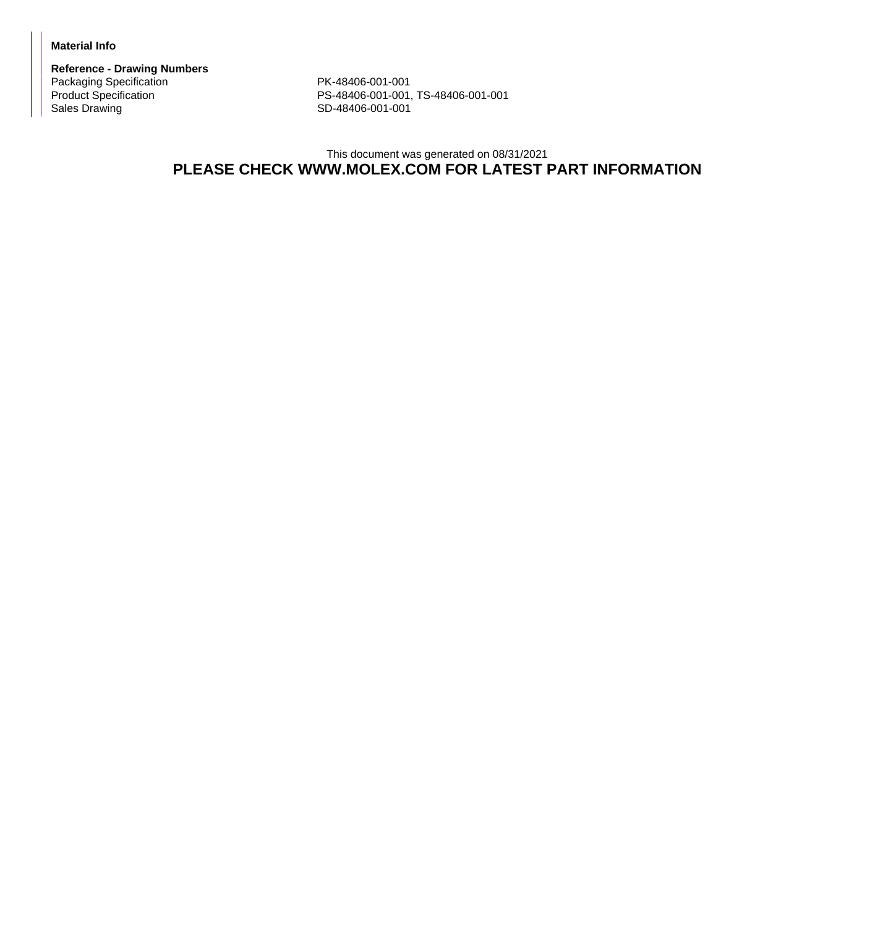## **Material Info**

**Reference - Drawing Numbers** Packaging Specification PK-48406-001-001<br>Product Specification PS-48406-001-001,

Product Specification <br>
PS-48406-001-001, TS-48406-001-001<br>
SD-48406-001-001 SD-48406-001-001

## This document was generated on 08/31/2021 **PLEASE CHECK WWW.MOLEX.COM FOR LATEST PART INFORMATION**